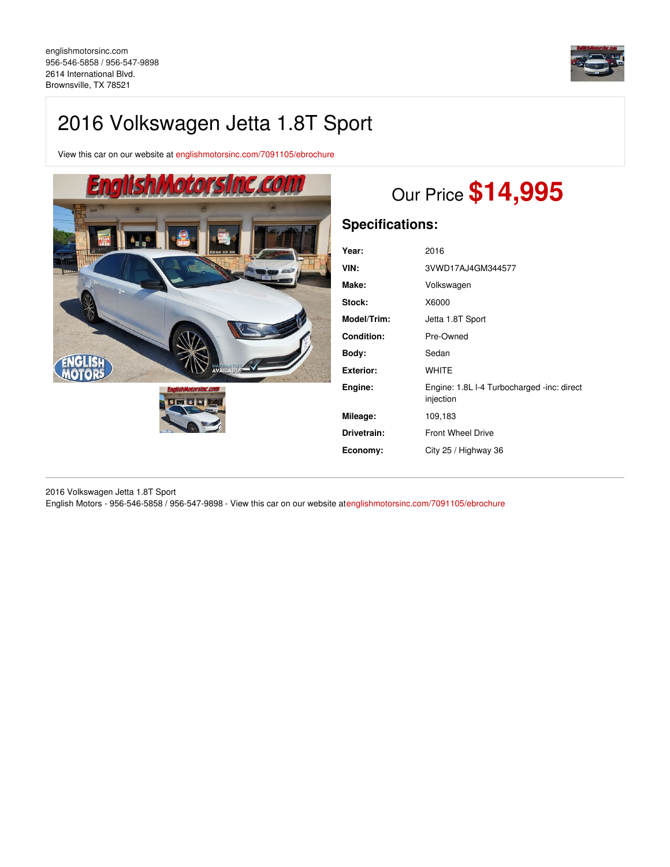

# 2016 Volkswagen Jetta 1.8T Sport

View this car on our website at [englishmotorsinc.com/7091105/ebrochure](https://englishmotorsinc.com/vehicle/7091105/2016-volkswagen-jetta-1-8t-sport-brownsville-tx-78521/7091105/ebrochure)



# Our Price **\$14,995**

# **Specifications:**

| 2016                                                    |
|---------------------------------------------------------|
| 3VWD17AJ4GM344577                                       |
| Volkswagen                                              |
| X6000                                                   |
| Jetta 1.8T Sport                                        |
| Pre-Owned                                               |
| Sedan                                                   |
| <b>WHITE</b>                                            |
| Engine: 1.8L I-4 Turbocharged -inc: direct<br>injection |
| 109,183                                                 |
| <b>Front Wheel Drive</b>                                |
| City 25 / Highway 36                                    |
|                                                         |

2016 Volkswagen Jetta 1.8T Sport English Motors - 956-546-5858 / 956-547-9898 - View this car on our website a[tenglishmotorsinc.com/7091105/ebrochure](https://englishmotorsinc.com/vehicle/7091105/2016-volkswagen-jetta-1-8t-sport-brownsville-tx-78521/7091105/ebrochure)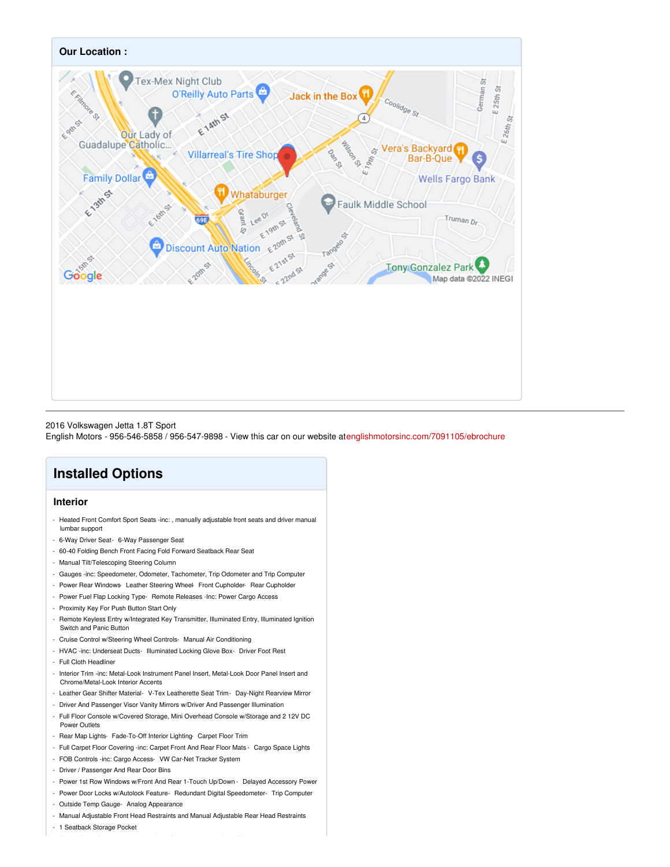

### 2016 Volkswagen Jetta 1.8T Sport

English Motors - 956-546-5858 / 956-547-9898 - View this car on our website a[tenglishmotorsinc.com/7091105/ebrochure](https://englishmotorsinc.com/vehicle/7091105/2016-volkswagen-jetta-1-8t-sport-brownsville-tx-78521/7091105/ebrochure)

## **Installed Options**

## **Interior**

- Heated Front Comfort Sport Seats -inc: , manually adjustable front seats and driver manual lumbar support
- 6-Way Driver Seat- 6-Way Passenger Seat
- 60-40 Folding Bench Front Facing Fold Forward Seatback Rear Seat
- Manual Tilt/Telescoping Steering Column
- Gauges -inc: Speedometer, Odometer, Tachometer, Trip Odometer and Trip Computer
- Power Rear Windows-Leather Steering Wheel- Front Cupholder- Rear Cupholder
- Power Fuel Flap Locking Type- Remote Releases -Inc: Power Cargo Access
- Proximity Key For Push Button Start Only
- Remote Keyless Entry w/Integrated Key Transmitter, Illuminated Entry, Illuminated Ignition Switch and Panic Button
- Cruise Control w/Steering Wheel Controls- Manual Air Conditioning
- HVAC -inc: Underseat Ducts- Illuminated Locking Glove Box- Driver Foot Rest
- Full Cloth Headliner
- Interior Trim -inc: Metal-Look Instrument Panel Insert, Metal-Look Door Panel Insert and Chrome/Metal-Look Interior Accents
- Leather Gear Shifter Material- V-Tex Leatherette Seat Trim- Day-Night Rearview Mirror
- Driver And Passenger Visor Vanity Mirrors w/Driver And Passenger Illumination
- Full Floor Console w/Covered Storage, Mini Overhead Console w/Storage and 2 12V DC Power Outlets
- Rear Map Lights- Fade-To-Off Interior Lighting- Carpet Floor Trim
- Full Carpet Floor Covering -inc: Carpet Front And Rear Floor Mats Cargo Space Lights
- FOB Controls -inc: Cargo Access- VW Car-Net Tracker System
- Driver / Passenger And Rear Door Bins
- Power 1st Row Windows w/Front And Rear 1-Touch Up/Down Delayed Accessory Power
- Power Door Locks w/Autolock Feature- Redundant Digital Speedometer- Trip Computer
- Outside Temp Gauge- Analog Appearance
- Manual Adjustable Front Head Restraints and Manual Adjustable Rear Head Restraints
- 1 Seatback Storage Pocket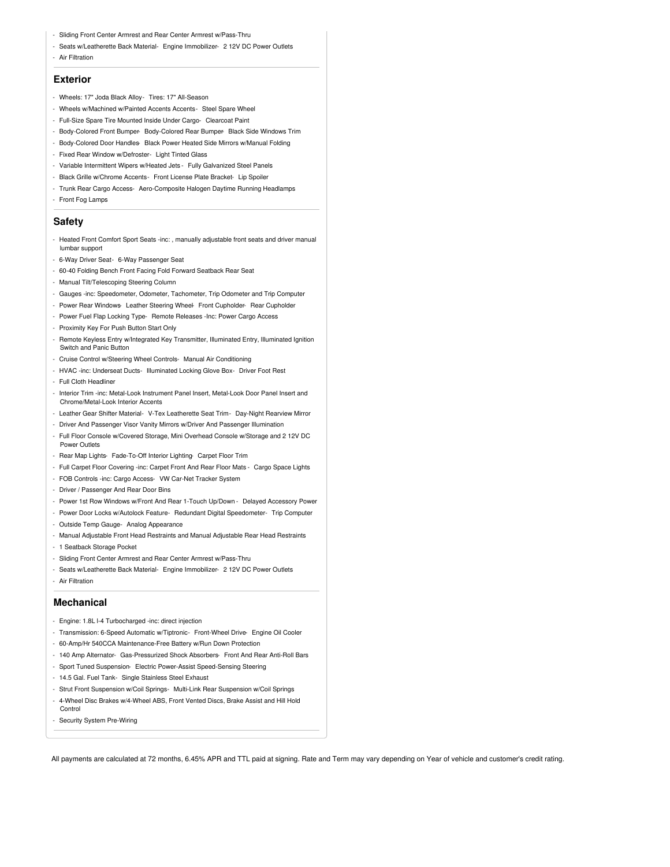- Sliding Front Center Armrest and Rear Center Armrest w/Pass-Thru
- Seats w/Leatherette Back Material- Engine Immobilizer- 2 12V DC Power Outlets
- Air Filtration

### **Exterior**

- Wheels: 17" Joda Black Alloy- Tires: 17" All-Season
- Wheels w/Machined w/Painted Accents Accents- Steel Spare Wheel
- Full-Size Spare Tire Mounted Inside Under Cargo- Clearcoat Paint
- Body-Colored Front Bumper- Body-Colored Rear Bumper- Black Side Windows Trim
- Body-Colored Door Handles- Black Power Heated Side Mirrors w/Manual Folding
- Fixed Rear Window w/Defroster- Light Tinted Glass
- Variable Intermittent Wipers w/Heated Jets Fully Galvanized Steel Panels
- Black Grille w/Chrome Accents- Front License Plate Bracket- Lip Spoiler
- Trunk Rear Cargo Access- Aero-Composite Halogen Daytime Running Headlamps
- Front Fog Lamps

#### **Safety**

- Heated Front Comfort Sport Seats -inc: , manually adjustable front seats and driver manual lumbar support
- 6-Way Driver Seat- 6-Way Passenger Seat
- 60-40 Folding Bench Front Facing Fold Forward Seatback Rear Seat
- Manual Tilt/Telescoping Steering Column
- Gauges -inc: Speedometer, Odometer, Tachometer, Trip Odometer and Trip Computer
- Power Rear Windows- Leather Steering Wheel- Front Cupholder- Rear Cupholder
- Power Fuel Flap Locking Type- Remote Releases -Inc: Power Cargo Access
- Proximity Key For Push Button Start Only
- Remote Keyless Entry w/Integrated Key Transmitter, Illuminated Entry, Illuminated Ignition Switch and Panic Button
- Cruise Control w/Steering Wheel Controls- Manual Air Conditioning
- HVAC -inc: Underseat Ducts- Illuminated Locking Glove Box- Driver Foot Rest
- Full Cloth Headliner
- Interior Trim -inc: Metal-Look Instrument Panel Insert, Metal-Look Door Panel Insert and Chrome/Metal-Look Interior Accents
- Leather Gear Shifter Material- V-Tex Leatherette Seat Trim- Day-Night Rearview Mirror
- Driver And Passenger Visor Vanity Mirrors w/Driver And Passenger Illumination
- Full Floor Console w/Covered Storage, Mini Overhead Console w/Storage and 2 12V DC Power Outlets
- Rear Map Lights- Fade-To-Off Interior Lighting- Carpet Floor Trim
- Full Carpet Floor Covering -inc: Carpet Front And Rear Floor Mats Cargo Space Lights
- FOB Controls -inc: Cargo Access- VW Car-Net Tracker System
- Driver / Passenger And Rear Door Bins
- Power 1st Row Windows w/Front And Rear 1-Touch Up/Down Delayed Accessory Power
- Power Door Locks w/Autolock Feature- Redundant Digital Speedometer- Trip Computer
- Outside Temp Gauge- Analog Appearance
- Manual Adjustable Front Head Restraints and Manual Adjustable Rear Head Restraints
- 1 Seatback Storage Pocket
- Sliding Front Center Armrest and Rear Center Armrest w/Pass-Thru
- Seats w/Leatherette Back Material- Engine Immobilizer- 2 12V DC Power Outlets
- Air Filtration

#### **Mechanical**

- Engine: 1.8L l-4 Turbocharged -inc: direct injection
- Transmission: 6-Speed Automatic w/Tiptronic- Front-Wheel Drive- Engine Oil Cooler
- 60-Amp/Hr 540CCA Maintenance-Free Battery w/Run Down Protection
- 140 Amp Alternator- Gas-Pressurized Shock Absorbers- Front And Rear Anti-Roll Bars
- Sport Tuned Suspension- Electric Power-Assist Speed-Sensing Steering
- 14.5 Gal. Fuel Tank- Single Stainless Steel Exhaust
- Strut Front Suspension w/Coil Springs- Multi-Link Rear Suspension w/Coil Springs
- 4-Wheel Disc Brakes w/4-Wheel ABS, Front Vented Discs, Brake Assist and Hill Hold
- Control
- Security System Pre-Wiring

All payments are calculated at 72 months, 6.45% APR and TTL paid at signing. Rate and Term may vary depending on Year of vehicle and customer's credit rating.